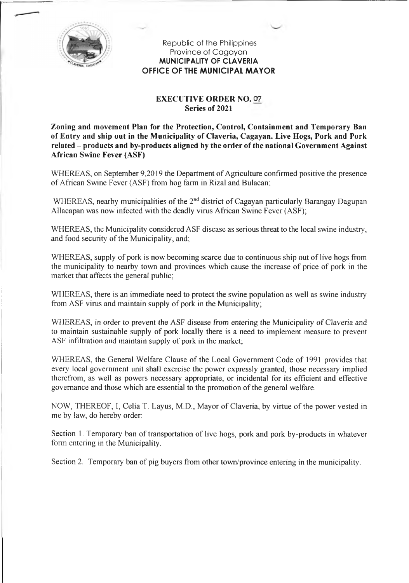

Republic of the Philippines Province of Cagayan **MUNICIPALITY OF CLAVERIA OFFICE OF THE MUNICIPAL MAYOR**

## **EXECUTIVE ORDER NO.** 07 **Series of 2021**

**Zoning and movement Plan for the Protection, Control, Containment and Temporary Ban of Entry and ship out in the Municipality of Claveria, Cagayan. Live Hogs, Pork and Pork related - products and by-products aligned by the order ofthe national Government Against African Swine Fever (ASF)**

WHEREAS, on September 9,2019 the Department of Agriculture confirmed positive the presence of African Swine Fever (ASF) from hog farm in Rizal and Bulacan;

WHEREAS, nearby municipalities of the  $2<sup>nd</sup>$  district of Cagayan particularly Barangay Dagupan Allacapan was now infected with the deadly virus African Swine Fever (ASF);

WHEREAS, the Municipality considered ASF disease as serious threat to the local swine industry, and food security of the Municipality, and;

WHEREAS, supply of pork is now becoming scarce due to continuous ship out of live hogs from the municipality to nearby town and provinces which cause the increase of price of pork in the market that affects the general public;

WHEREAS, there is an immediate need to protect the swine population as well as swine industry from ASF virus and maintain supply of pork in the Municipality;

WHEREAS, in order to prevent the ASF disease from entering the Municipality of Claveria and to maintain sustainable supply of pork locally there is a need to implement measure to prevent ASF infiltration and maintain supply of pork in the market;

WHEREAS, the General Welfare Clause of the Local Government Code of 1991 provides that every local government unit shall exercise the power expressly granted, those necessary implied therefrom, as well as powers necessary appropriate, or incidental for its efficient and effective governance and those which are essential to the promotion of the general welfare.

NOW, THEREOF, I, Celia T. Layus, M.D., Mayor of Claveria, by virtue ofthe power vested in me by law, do hereby order:

Section 1. Temporary ban of transportation of live hogs, pork and pork by-products in whatever form entering in the Municipality.

Section 2. Temporary ban of pig buyers from other town/province entering in the municipality.